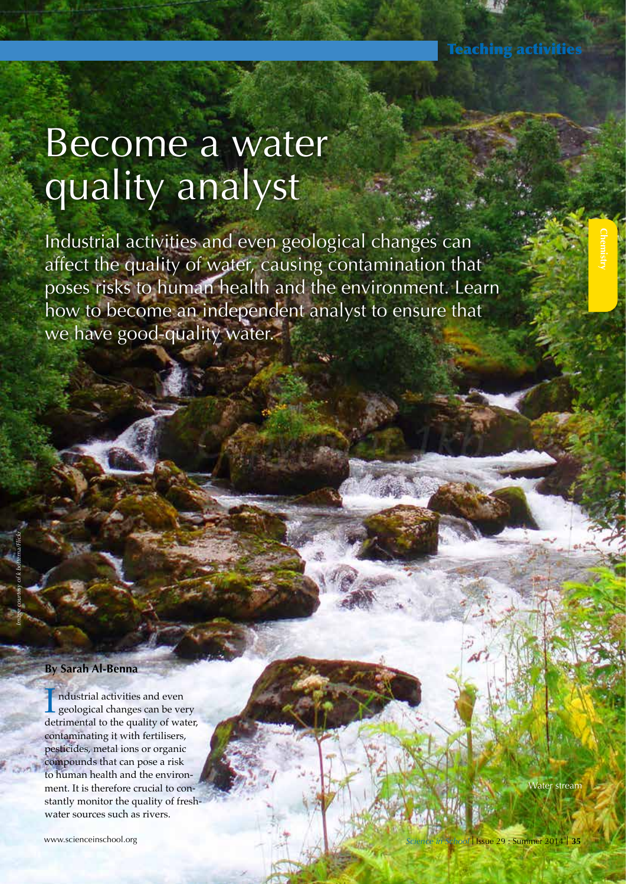**Chemistry** 

# Become a water quality analyst

Industrial activities and even geological changes can affect the quality of water, causing contamination that poses risks to human health and the environment. Learn how to become an independent analyst to ensure that we have good-quality water.

#### **By Sarah Al-Benna**

ndustrial activities and even seological changes can be very detrimental to the quality of water, contaminating it with fertilisers, pesticides, metal ions or organic compounds that can pose a risk to human health and the environment. It is therefore crucial to constantly monitor the quality of freshwater sources such as rivers.

www.scienceinschool.org

Water stream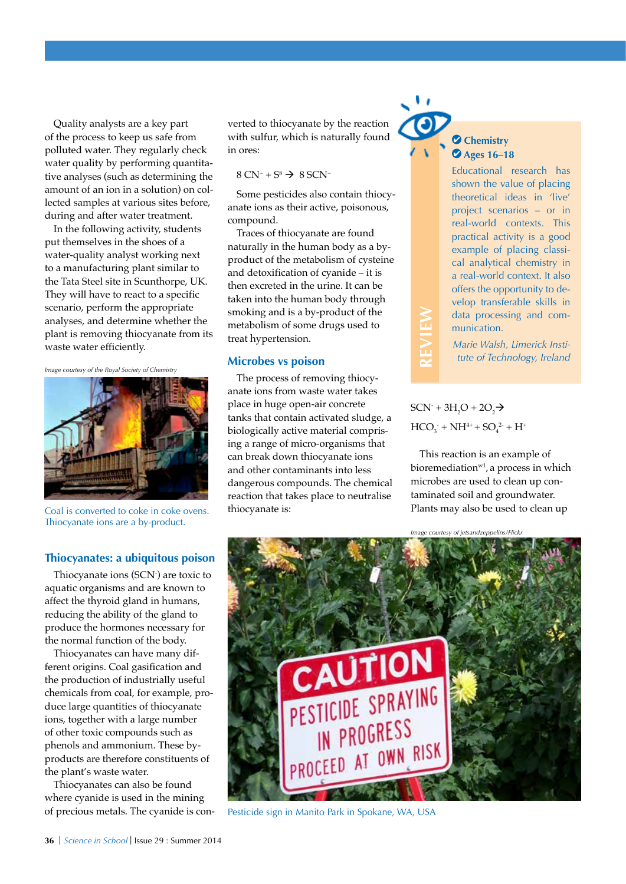Quality analysts are a key part of the process to keep us safe from polluted water. They regularly check water quality by performing quantitative analyses (such as determining the amount of an ion in a solution) on collected samples at various sites before, during and after water treatment.

In the following activity, students put themselves in the shoes of a water-quality analyst working next to a manufacturing plant similar to the Tata Steel site in Scunthorpe, UK. They will have to react to a specific scenario, perform the appropriate analyses, and determine whether the plant is removing thiocyanate from its waste water efficiently.

*Image courtesy of the Royal Society of Chemistry* 



Coal is converted to coke in coke ovens. Thiocyanate ions are a by-product.

#### **Thiocyanates: a ubiquitous poison**

Thiocyanate ions (SCN- ) are toxic to aquatic organisms and are known to affect the thyroid gland in humans, reducing the ability of the gland to produce the hormones necessary for the normal function of the body.

Thiocyanates can have many different origins. Coal gasification and the production of industrially useful chemicals from coal, for example, produce large quantities of thiocyanate ions, together with a large number of other toxic compounds such as phenols and ammonium. These byproducts are therefore constituents of the plant's waste water.

Thiocyanates can also be found where cyanide is used in the mining of precious metals. The cyanide is converted to thiocyanate by the reaction with sulfur, which is naturally found in ores:

#### $8 \text{ CN}^-$  +  $\text{S}^8$   $\rightarrow$  8 SCN<sup>-</sup>

Some pesticides also contain thiocyanate ions as their active, poisonous, compound.

Traces of thiocyanate are found naturally in the human body as a byproduct of the metabolism of cysteine and detoxification of cyanide – it is then excreted in the urine. It can be taken into the human body through smoking and is a by-product of the metabolism of some drugs used to treat hypertension.

#### **Microbes vs poison**

The process of removing thiocyanate ions from waste water takes place in huge open-air concrete tanks that contain activated sludge, a biologically active material comprising a range of micro-organisms that can break down thiocyanate ions and other contaminants into less dangerous compounds. The chemical reaction that takes place to neutralise thiocyanate is:



# **Ages 16–18**

Educational research has shown the value of placing theoretical ideas in 'live' project scenarios – or in real-world contexts. This practical activity is a good example of placing classical analytical chemistry in a real-world context. It also offers the opportunity to develop transferable skills in data processing and communication.

*Marie Walsh, Limerick Institute of Technology, Ireland*

### $SCN + 3H_2O + 2O_2$  $HCO_3^- + NH^{4+} + SO_4^{2-} + H^+$

**REVIEW**

This reaction is an example of bioremediation<sup>w1</sup>, a process in which microbes are used to clean up contaminated soil and groundwater. Plants may also be used to clean up

*Image courtesy of jetsandzeppelins/Flickr*



Pesticide sign in Manito Park in Spokane, WA, USA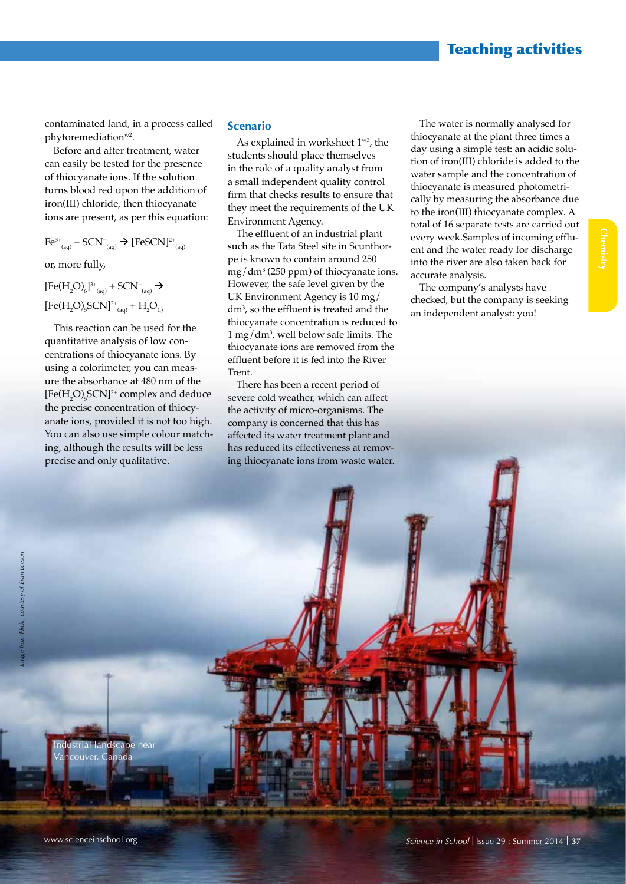## Teaching activities

contaminated land, in a process called phytoremediation<sup>w2</sup>.

Before and after treatment, water can easily be tested for the presence of thiocyanate ions. If the solution turns blood red upon the addition of iron(III) chloride, then thiocyanate ions are present, as per this equation:

 $\text{Fe}^{3+}$ <sub>(aq)</sub> + SCN<sup>-</sup><sub>(aq)</sub>  $\rightarrow$  [FeSCN]<sup>2+</sup><sub>(aq)</sub>

or, more fully,

 $[Fe(H<sub>2</sub>O)<sub>6</sub>]^{3+}$ <sub>(aq)</sub> + SCN<sup>-</sup><sub>(aq)</sub> →  $[Fe(H<sub>2</sub>O)<sub>5</sub>SCN]<sup>2+</sup><sub>(aq)</sub> + H<sub>2</sub>O<sub>(l)</sub>$ 

This reaction can be used for the quantitative analysis of low concentrations of thiocyanate ions. By using a colorimeter, you can measure the absorbance at 480 nm of the  $[Fe(H<sub>2</sub>O)<sub>5</sub>SCN]<sup>2+</sup> complex and deduce$ the precise concentration of thiocyanate ions, provided it is not too high. You can also use simple colour matching, although the results will be less precise and only qualitative.

#### **Scenario**

As explained in worksheet  $1^{\text{w3}}$ , the students should place themselves in the role of a quality analyst from a small independent quality control firm that checks results to ensure that they meet the requirements of the UK Environment Agency.

The effluent of an industrial plant such as the Tata Steel site in Scunthorpe is known to contain around 250 mg/dm3 (250 ppm) of thiocyanate ions. However, the safe level given by the UK Environment Agency is 10 mg/ dm3 , so the effluent is treated and the thiocyanate concentration is reduced to 1 mg/dm3 , well below safe limits. The thiocyanate ions are removed from the effluent before it is fed into the River Trent.

There has been a recent period of severe cold weather, which can affect the activity of micro-organisms. The company is concerned that this has affected its water treatment plant and has reduced its effectiveness at removing thiocyanate ions from waste water.

The water is normally analysed for thiocyanate at the plant three times a day using a simple test: an acidic solution of iron(III) chloride is added to the water sample and the concentration of thiocyanate is measured photometrically by measuring the absorbance due to the iron(III) thiocyanate complex. A total of 16 separate tests are carried out every week.Samples of incoming effluent and the water ready for discharge into the river are also taken back for accurate analysis.

The company's analysts have checked, but the company is seeking an independent analyst: you!

ndustrial landscape near ncouver, Canada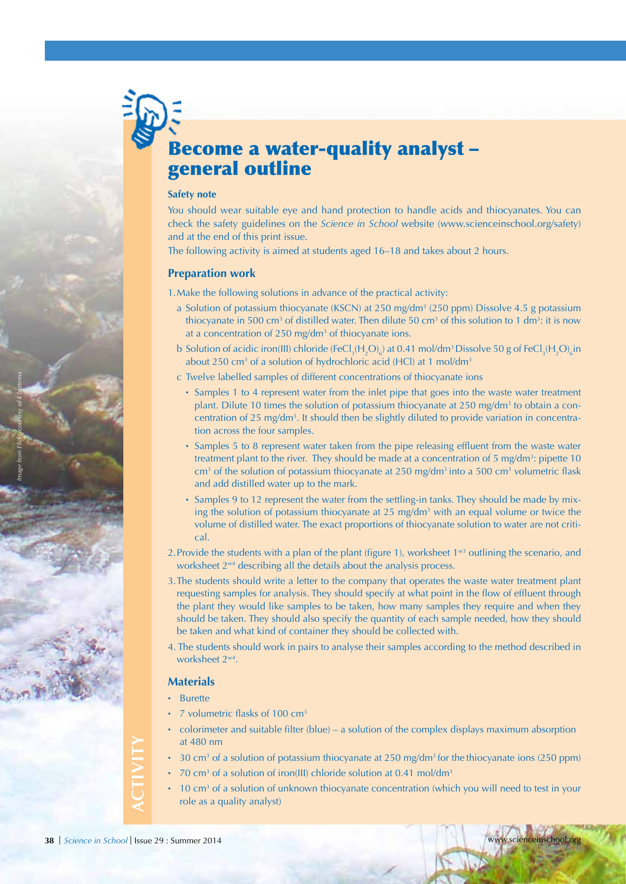# Become a water-quality analyst – general outline

#### **Safety note**

You should wear suitable eye and hand protection to handle acids and thiocyanates. You can check the safety guidelines on the *Science in School* website (www.scienceinschool.org/safety) and at the end of this print issue.

The following activity is aimed at students aged 16–18 and takes about 2 hours.

#### **Preparation work**

1.Make the following solutions in advance of the practical activity:

- a Solution of potassium thiocyanate (KSCN) at 250 mg/dm<sup>3</sup> (250 ppm) Dissolve 4.5 g potassium thiocyanate in 500 cm<sup>3</sup> of distilled water. Then dilute 50 cm<sup>3</sup> of this solution to 1 dm<sup>3</sup>: it is now at a concentration of 250 mg/dm<sup>3</sup> of thiocyanate ions.
- b Solution of acidic iron(III) chloride (FeCl<sub>3</sub>(H<sub>2</sub>O)<sub>6</sub>) at 0.41 mol/dm<sup>3</sup> Dissolve 50 g of FeCl<sub>3</sub>(H<sub>2</sub>O)<sub>6</sub>in about 250 cm<sup>3</sup> of a solution of hydrochloric acid (HCl) at 1 mol/dm<sup>3</sup>
- c Twelve labelled samples of different concentrations of thiocyanate ions
	- · Samples 1 to 4 represent water from the inlet pipe that goes into the waste water treatment plant. Dilute 10 times the solution of potassium thiocyanate at 250 mg/dm<sup>3</sup> to obtain a concentration of 25 mg/dm3 . It should then be slightly diluted to provide variation in concentration across the four samples.
	- · Samples 5 to 8 represent water taken from the pipe releasing effluent from the waste water treatment plant to the river. They should be made at a concentration of 5 mg/dm<sup>3</sup>: pipette 10 cm<sup>3</sup> of the solution of potassium thiocyanate at 250 mg/dm<sup>3</sup> into a 500 cm<sup>3</sup> volumetric flask and add distilled water up to the mark.
	- · Samples 9 to 12 represent the water from the settling-in tanks. They should be made by mixing the solution of potassium thiocyanate at 25 mg/dm<sup>3</sup> with an equal volume or twice the volume of distilled water. The exact proportions of thiocyanate solution to water are not critical.
- 2. Provide the students with a plan of the plant (figure 1), worksheet  $1^{\text{w3}}$  outlining the scenario, and worksheet 2<sup>w4</sup> describing all the details about the analysis process.
- 3.The students should write a letter to the company that operates the waste water treatment plant requesting samples for analysis. They should specify at what point in the flow of effluent through the plant they would like samples to be taken, how many samples they require and when they should be taken. They should also specify the quantity of each sample needed, how they should be taken and what kind of container they should be collected with.
- 4. The students should work in pairs to analyse their samples according to the method described in worksheet  $2^{w4}$ .

#### **Materials**

- · Burette
- · 7 volumetric flasks of 100 cm3
- · colorimeter and suitable filter (blue) a solution of the complex displays maximum absorption at 480 nm
- 30 cm<sup>3</sup> of a solution of potassium thiocyanate at 250 mg/dm<sup>3</sup> for the thiocyanate ions (250 ppm)
- 70 cm<sup>3</sup> of a solution of iron(III) chloride solution at 0.41 mol/dm<sup>3</sup>
- $\cdot$  10 cm<sup>3</sup> of a solution of unknown thiocyanate concentration (which you will need to test in your role as a quality analyst)

**ACTIVITY**

*Image from Flickr, courtesy of k bottema*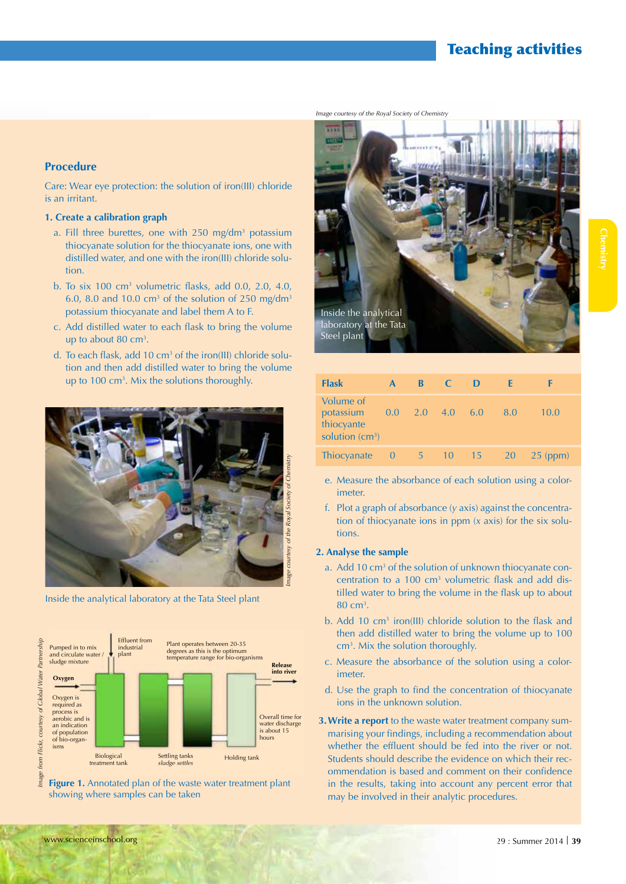## Teaching activities

*Image courtesy of the Royal Society of Chemistry*

#### **Procedure**

Care: Wear eye protection: the solution of iron(III) chloride is an irritant.

#### **1. Create a calibration graph**

- a. Fill three burettes, one with 250 mg/dm<sup>3</sup> potassium thiocyanate solution for the thiocyanate ions, one with distilled water, and one with the iron(III) chloride solution.
- b. To six 100  $\text{cm}^3$  volumetric flasks, add 0.0, 2.0, 4.0, 6.0, 8.0 and 10.0 cm<sup>3</sup> of the solution of 250 mg/dm<sup>3</sup> potassium thiocyanate and label them A to F.
- c. Add distilled water to each flask to bring the volume up to about 80  $\text{cm}^3$ .
- d. To each flask, add 10 cm<sup>3</sup> of the iron(III) chloride solution and then add distilled water to bring the volume



Inside the analytical laboratory at the Tata Steel plant







| up to 100 cm <sup>3</sup> . Mix the solutions thoroughly. | <b>Flask</b>                                              | A              | $\blacksquare$ | $\overline{C}$ D |                               |    |            |
|-----------------------------------------------------------|-----------------------------------------------------------|----------------|----------------|------------------|-------------------------------|----|------------|
|                                                           | Volume of<br>potassium<br>thiocyante<br>solution $(cm^3)$ |                |                |                  | $0.0$ $2.0$ $4.0$ $6.0$ $8.0$ |    | 10.0       |
|                                                           | Thiocyanate                                               | $\overline{0}$ | $5 \t10$       |                  |                               | 20 | $25$ (ppm) |

- e. Measure the absorbance of each solution using a colorimeter.
- f. Plot a graph of absorbance (*y* axis) against the concentration of thiocyanate ions in ppm (*x* axis) for the six solutions.

#### **2. Analyse the sample**

- a. Add 10 cm<sup>3</sup> of the solution of unknown thiocyanate concentration to a  $100 \text{ cm}^3$  volumetric flask and add distilled water to bring the volume in the flask up to about 80 cm3 .
- b. Add 10 cm<sup>3</sup> iron(III) chloride solution to the flask and then add distilled water to bring the volume up to 100 cm3 . Mix the solution thoroughly.
- c. Measure the absorbance of the solution using a colorimeter.
- d. Use the graph to find the concentration of thiocyanate ions in the unknown solution.
- **3.Write a report** to the waste water treatment company summarising your findings, including a recommendation about whether the effluent should be fed into the river or not. Students should describe the evidence on which their recommendation is based and comment on their confidence in the results, taking into account any percent error that may be involved in their analytic procedures.